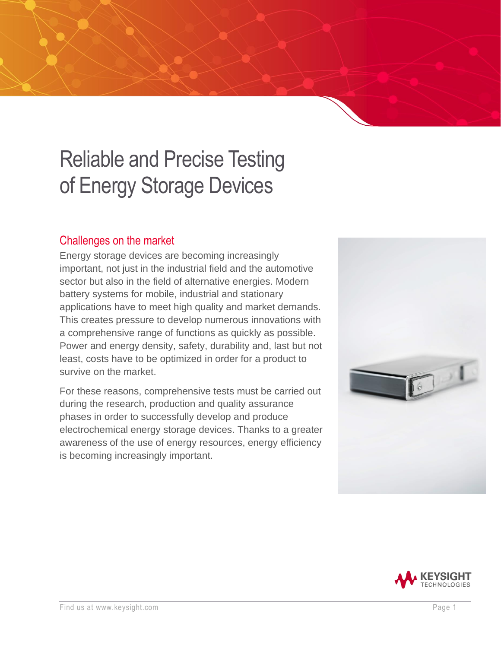# Reliable and Precise Testing of Energy Storage Devices

# Challenges on the market

Energy storage devices are becoming increasingly important, not just in the industrial field and the automotive sector but also in the field of alternative energies. Modern battery systems for mobile, industrial and stationary applications have to meet high quality and market demands. This creates pressure to develop numerous innovations with a comprehensive range of functions as quickly as possible. Power and energy density, safety, durability and, last but not least, costs have to be optimized in order for a product to survive on the market.

For these reasons, comprehensive tests must be carried out during the research, production and quality assurance phases in order to successfully develop and produce electrochemical energy storage devices. Thanks to a greater awareness of the use of energy resources, energy efficiency is becoming increasingly important.



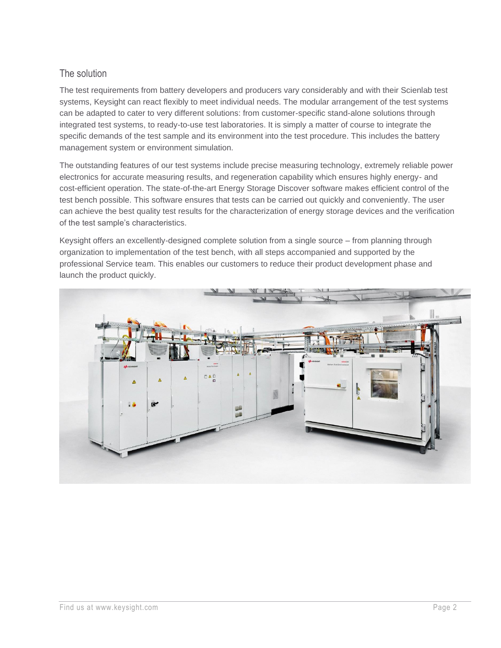# The solution

The test requirements from battery developers and producers vary considerably and with their Scienlab test systems, Keysight can react flexibly to meet individual needs. The modular arrangement of the test systems can be adapted to cater to very different solutions: from customer-specific stand-alone solutions through integrated test systems, to ready-to-use test laboratories. It is simply a matter of course to integrate the specific demands of the test sample and its environment into the test procedure. This includes the battery management system or environment simulation.

The outstanding features of our test systems include precise measuring technology, extremely reliable power electronics for accurate measuring results, and regeneration capability which ensures highly energy- and cost-efficient operation. The state-of-the-art Energy Storage Discover software makes efficient control of the test bench possible. This software ensures that tests can be carried out quickly and conveniently. The user can achieve the best quality test results for the characterization of energy storage devices and the verification of the test sample's characteristics.

Keysight offers an excellently-designed complete solution from a single source – from planning through organization to implementation of the test bench, with all steps accompanied and supported by the professional Service team. This enables our customers to reduce their product development phase and launch the product quickly.

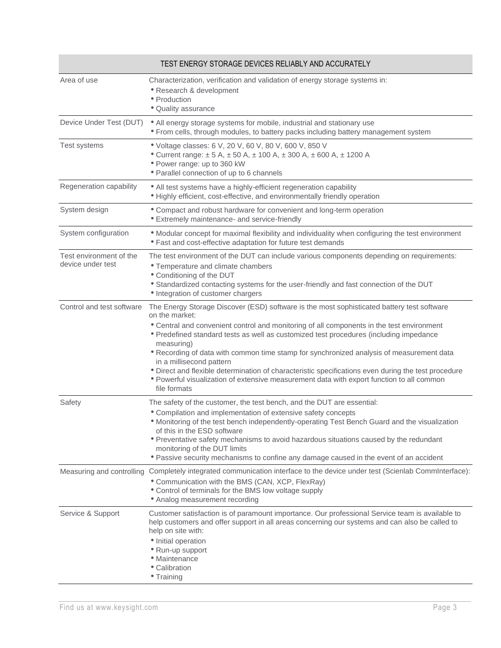| TEST ENERGY STORAGE DEVICES RELIABLY AND ACCURATELY |                                                                                                                                                                                                                                                                                                                                                                                                                                                                                                                                                                                                                                                               |
|-----------------------------------------------------|---------------------------------------------------------------------------------------------------------------------------------------------------------------------------------------------------------------------------------------------------------------------------------------------------------------------------------------------------------------------------------------------------------------------------------------------------------------------------------------------------------------------------------------------------------------------------------------------------------------------------------------------------------------|
| Area of use                                         | Characterization, verification and validation of energy storage systems in:<br>• Research & development<br>• Production<br>• Quality assurance                                                                                                                                                                                                                                                                                                                                                                                                                                                                                                                |
| Device Under Test (DUT)                             | • All energy storage systems for mobile, industrial and stationary use<br>• From cells, through modules, to battery packs including battery management system                                                                                                                                                                                                                                                                                                                                                                                                                                                                                                 |
| Test systems                                        | · Voltage classes: 6 V, 20 V, 60 V, 80 V, 600 V, 850 V<br>• Current range: ± 5 A, ± 50 A, ± 100 A, ± 300 A, ± 600 A, ± 1200 A<br>• Power range: up to 360 kW<br>• Parallel connection of up to 6 channels                                                                                                                                                                                                                                                                                                                                                                                                                                                     |
| Regeneration capability                             | • All test systems have a highly-efficient regeneration capability<br>• Highly efficient, cost-effective, and environmentally friendly operation                                                                                                                                                                                                                                                                                                                                                                                                                                                                                                              |
| System design                                       | • Compact and robust hardware for convenient and long-term operation<br><b>• Extremely maintenance- and service-friendly</b>                                                                                                                                                                                                                                                                                                                                                                                                                                                                                                                                  |
| System configuration                                | • Modular concept for maximal flexibility and individuality when configuring the test environment<br>• Fast and cost-effective adaptation for future test demands                                                                                                                                                                                                                                                                                                                                                                                                                                                                                             |
| Test environment of the<br>device under test        | The test environment of the DUT can include various components depending on requirements:<br>• Temperature and climate chambers<br>• Conditioning of the DUT<br>• Standardized contacting systems for the user-friendly and fast connection of the DUT<br>• Integration of customer chargers                                                                                                                                                                                                                                                                                                                                                                  |
| Control and test software                           | The Energy Storage Discover (ESD) software is the most sophisticated battery test software<br>on the market:<br>• Central and convenient control and monitoring of all components in the test environment<br>• Predefined standard tests as well as customized test procedures (including impedance<br>measuring)<br>* Recording of data with common time stamp for synchronized analysis of measurement data<br>in a millisecond pattern<br>• Direct and flexible determination of characteristic specifications even during the test procedure<br>• Powerful visualization of extensive measurement data with export function to all common<br>file formats |
| Safety                                              | The safety of the customer, the test bench, and the DUT are essential:<br>• Compilation and implementation of extensive safety concepts<br>. Monitoring of the test bench independently-operating Test Bench Guard and the visualization<br>of this in the ESD software<br>• Preventative safety mechanisms to avoid hazardous situations caused by the redundant<br>monitoring of the DUT limits<br>• Passive security mechanisms to confine any damage caused in the event of an accident                                                                                                                                                                   |
| Measuring and controlling                           | Completely integrated communication interface to the device under test (Scienlab Comminterface):<br>• Communication with the BMS (CAN, XCP, FlexRay)<br>• Control of terminals for the BMS low voltage supply<br>• Analog measurement recording                                                                                                                                                                                                                                                                                                                                                                                                               |
| Service & Support                                   | Customer satisfaction is of paramount importance. Our professional Service team is available to<br>help customers and offer support in all areas concerning our systems and can also be called to<br>help on site with:<br>• Initial operation<br>• Run-up support<br>• Maintenance<br>• Calibration<br>• Training                                                                                                                                                                                                                                                                                                                                            |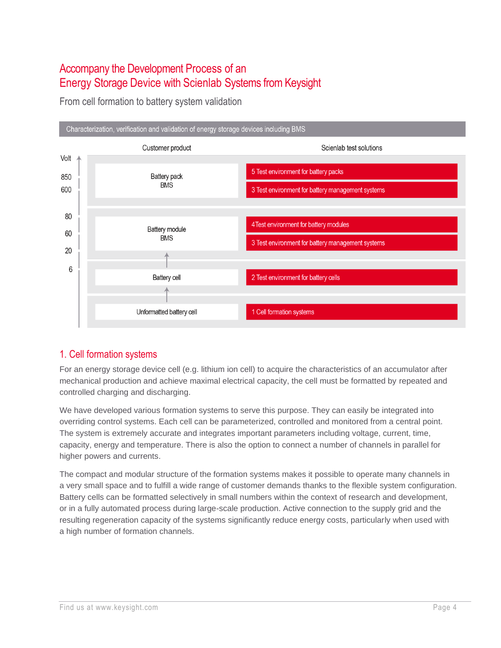# Accompany the Development Process of an Energy Storage Device with Scienlab Systems from Keysight

From cell formation to battery system validation



# 1. Cell formation systems

For an energy storage device cell (e.g. lithium ion cell) to acquire the characteristics of an accumulator after mechanical production and achieve maximal electrical capacity, the cell must be formatted by repeated and controlled charging and discharging.

We have developed various formation systems to serve this purpose. They can easily be integrated into overriding control systems. Each cell can be parameterized, controlled and monitored from a central point. The system is extremely accurate and integrates important parameters including voltage, current, time, capacity, energy and temperature. There is also the option to connect a number of channels in parallel for higher powers and currents.

The compact and modular structure of the formation systems makes it possible to operate many channels in a very small space and to fulfill a wide range of customer demands thanks to the flexible system configuration. Battery cells can be formatted selectively in small numbers within the context of research and development, or in a fully automated process during large-scale production. Active connection to the supply grid and the resulting regeneration capacity of the systems significantly reduce energy costs, particularly when used with a high number of formation channels.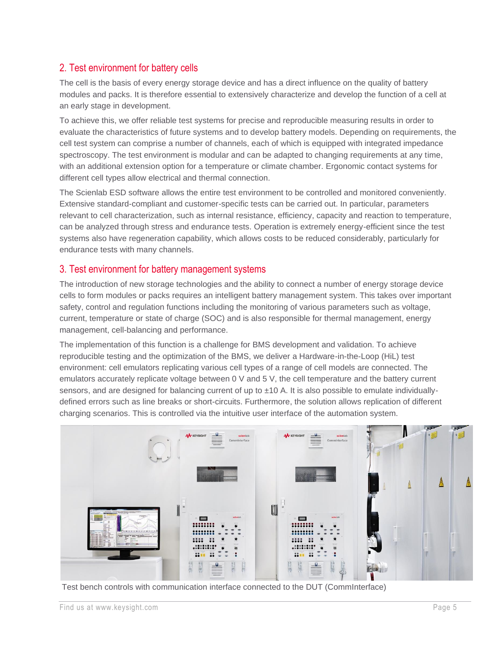# 2. Test environment for battery cells

The cell is the basis of every energy storage device and has a direct influence on the quality of battery modules and packs. It is therefore essential to extensively characterize and develop the function of a cell at an early stage in development.

To achieve this, we offer reliable test systems for precise and reproducible measuring results in order to evaluate the characteristics of future systems and to develop battery models. Depending on requirements, the cell test system can comprise a number of channels, each of which is equipped with integrated impedance spectroscopy. The test environment is modular and can be adapted to changing requirements at any time, with an additional extension option for a temperature or climate chamber. Ergonomic contact systems for different cell types allow electrical and thermal connection.

The Scienlab ESD software allows the entire test environment to be controlled and monitored conveniently. Extensive standard-compliant and customer-specific tests can be carried out. In particular, parameters relevant to cell characterization, such as internal resistance, efficiency, capacity and reaction to temperature, can be analyzed through stress and endurance tests. Operation is extremely energy-efficient since the test systems also have regeneration capability, which allows costs to be reduced considerably, particularly for endurance tests with many channels.

## 3. Test environment for battery management systems

The introduction of new storage technologies and the ability to connect a number of energy storage device cells to form modules or packs requires an intelligent battery management system. This takes over important safety, control and regulation functions including the monitoring of various parameters such as voltage, current, temperature or state of charge (SOC) and is also responsible for thermal management, energy management, cell-balancing and performance.

The implementation of this function is a challenge for BMS development and validation. To achieve reproducible testing and the optimization of the BMS, we deliver a Hardware-in-the-Loop (HiL) test environment: cell emulators replicating various cell types of a range of cell models are connected. The emulators accurately replicate voltage between 0 V and 5 V, the cell temperature and the battery current sensors, and are designed for balancing current of up to  $\pm 10$  A. It is also possible to emulate individuallydefined errors such as line breaks or short-circuits. Furthermore, the solution allows replication of different charging scenarios. This is controlled via the intuitive user interface of the automation system.



Test bench controls with communication interface connected to the DUT (CommInterface)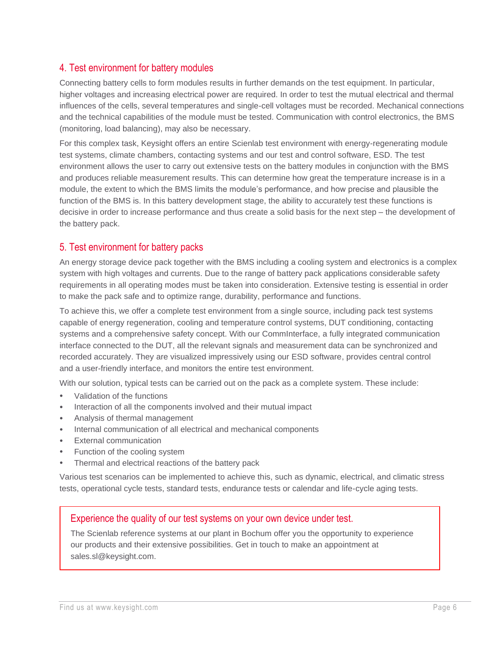# 4. Test environment for battery modules

Connecting battery cells to form modules results in further demands on the test equipment. In particular, higher voltages and increasing electrical power are required. In order to test the mutual electrical and thermal influences of the cells, several temperatures and single-cell voltages must be recorded. Mechanical connections and the technical capabilities of the module must be tested. Communication with control electronics, the BMS (monitoring, load balancing), may also be necessary.

For this complex task, Keysight offers an entire Scienlab test environment with energy-regenerating module test systems, climate chambers, contacting systems and our test and control software, ESD. The test environment allows the user to carry out extensive tests on the battery modules in conjunction with the BMS and produces reliable measurement results. This can determine how great the temperature increase is in a module, the extent to which the BMS limits the module's performance, and how precise and plausible the function of the BMS is. In this battery development stage, the ability to accurately test these functions is decisive in order to increase performance and thus create a solid basis for the next step – the development of the battery pack.

## 5. Test environment for battery packs

An energy storage device pack together with the BMS including a cooling system and electronics is a complex system with high voltages and currents. Due to the range of battery pack applications considerable safety requirements in all operating modes must be taken into consideration. Extensive testing is essential in order to make the pack safe and to optimize range, durability, performance and functions.

To achieve this, we offer a complete test environment from a single source, including pack test systems capable of energy regeneration, cooling and temperature control systems, DUT conditioning, contacting systems and a comprehensive safety concept. With our CommInterface, a fully integrated communication interface connected to the DUT, all the relevant signals and measurement data can be synchronized and recorded accurately. They are visualized impressively using our ESD software, provides central control and a user-friendly interface, and monitors the entire test environment.

With our solution, typical tests can be carried out on the pack as a complete system. These include:

- Validation of the functions
- Interaction of all the components involved and their mutual impact
- Analysis of thermal management
- Internal communication of all electrical and mechanical components
- **External communication**
- Function of the cooling system
- Thermal and electrical reactions of the battery pack

Various test scenarios can be implemented to achieve this, such as dynamic, electrical, and climatic stress tests, operational cycle tests, standard tests, endurance tests or calendar and life-cycle aging tests.

#### Experience the quality of our test systems on your own device under test.

The Scienlab reference systems at our plant in Bochum offer you the opportunity to experience our products and their extensive possibilities. Get in touch to make an appointment at sales.sl@keysight.com.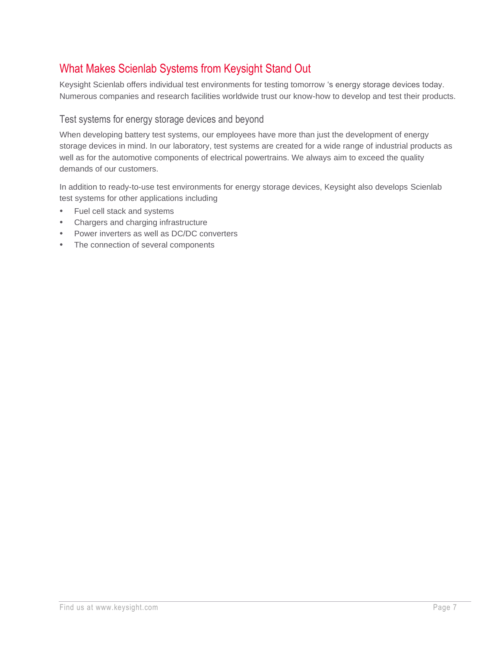# What Makes Scienlab Systems from Keysight Stand Out

Keysight Scienlab offers individual test environments for testing tomorrow 's energy storage devices today. Numerous companies and research facilities worldwide trust our know-how to develop and test their products.

## Test systems for energy storage devices and beyond

When developing battery test systems, our employees have more than just the development of energy storage devices in mind. In our laboratory, test systems are created for a wide range of industrial products as well as for the automotive components of electrical powertrains. We always aim to exceed the quality demands of our customers.

In addition to ready-to-use test environments for energy storage devices, Keysight also develops Scienlab test systems for other applications including

- Fuel cell stack and systems
- Chargers and charging infrastructure
- Power inverters as well as DC/DC converters
- The connection of several components